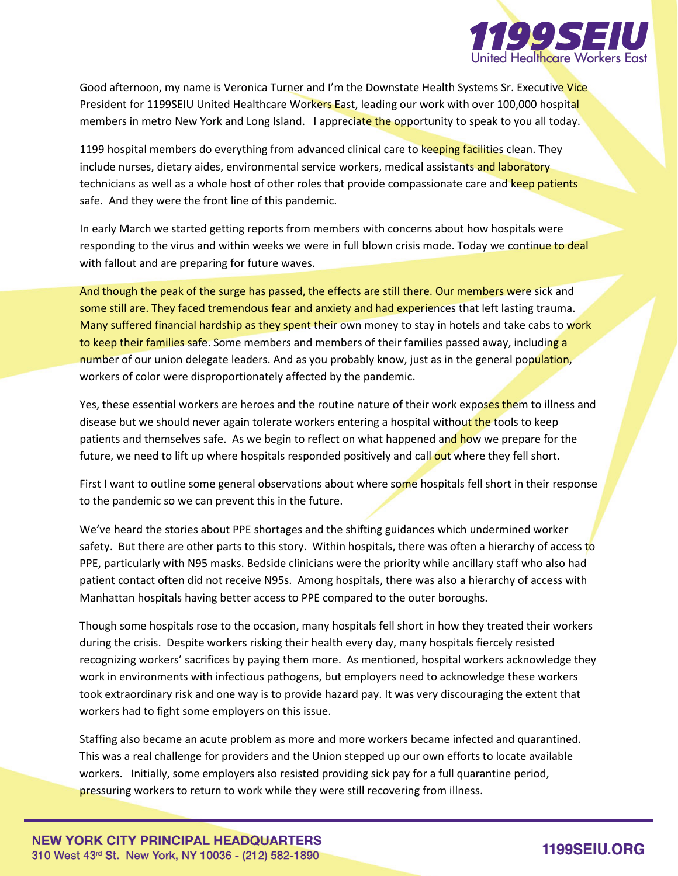

Good afternoon, my name is Veronica Turner and I'm the Downstate Health Systems Sr. Executive Vice President for 1199SEIU United Healthcare Workers East, leading our work with over 100,000 hospital members in metro New York and Long Island. I appreciate the opportunity to speak to you all today.

1199 hospital members do everything from advanced clinical care to keeping facilities clean. They include nurses, dietary aides, environmental service workers, medical assistants and laboratory technicians as well as a whole host of other roles that provide compassionate care and keep patients safe. And they were the front line of this pandemic.

In early March we started getting reports from members with concerns about how hospitals were responding to the virus and within weeks we were in full blown crisis mode. Today we continue to deal with fallout and are preparing for future waves.

And though the peak of the surge has passed, the effects are still there. Our members were sick and some still are. They faced tremendous fear and anxiety and had experiences that left lasting trauma. Many suffered financial hardship as they spent their own money to stay in hotels and take cabs to work to keep their families safe. Some members and members of their families passed away, including a number of our union delegate leaders. And as you probably know, just as in the general population, workers of color were disproportionately affected by the pandemic.

Yes, these essential workers are heroes and the routine nature of their work exposes them to illness and disease but we should never again tolerate workers entering a hospital without the tools to keep patients and themselves safe. As we begin to reflect on what happened and how we prepare for the future, we need to lift up where hospitals responded positively and call out where they fell short.

First I want to outline some general observations about where some hospitals fell short in their response to the pandemic so we can prevent this in the future.

We've heard the stories about PPE shortages and the shifting guidances which undermined worker safety. But there are other parts to this story. Within hospitals, there was often a hierarchy of access to PPE, particularly with N95 masks. Bedside clinicians were the priority while ancillary staff who also had patient contact often did not receive N95s. Among hospitals, there was also a hierarchy of access with Manhattan hospitals having better access to PPE compared to the outer boroughs.

Though some hospitals rose to the occasion, many hospitals fell short in how they treated their workers during the crisis. Despite workers risking their health every day, many hospitals fiercely resisted recognizing workers' sacrifices by paying them more. As mentioned, hospital workers acknowledge they work in environments with infectious pathogens, but employers need to acknowledge these workers took extraordinary risk and one way is to provide hazard pay. It was very discouraging the extent that workers had to fight some employers on this issue.

Staffing also became an acute problem as more and more workers became infected and quarantined. This was a real challenge for providers and the Union stepped up our own efforts to locate available workers. Initially, some employers also resisted providing sick pay for a full quarantine period, pressuring workers to return to work while they were still recovering from illness.